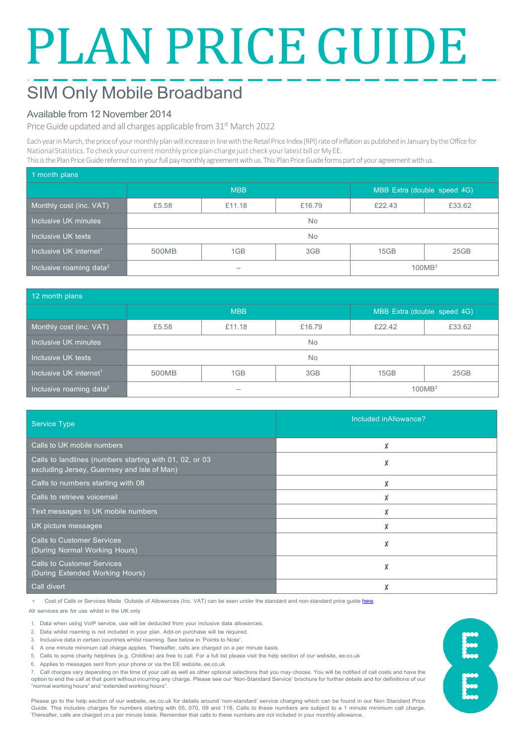# PLAN PRICE GUIDE

# SIM Only Mobile Broadband

### Available from 12 November 2014

Price Guide updated and all charges applicable from 31<sup>st</sup> March 2022

Each year in March, the price of your monthly plan will increase in line with the Retail Price Index (RPI) rate of inflation as published in January by the Office for National Statistics. To check your current monthly price plan charge just check your latest bill or My EE. This is the Plan Price Guide referred to in your full pay monthly agreement with us. This Plan Price Guide forms part of your agreement with us.

| 1 month plans                       |            |        |        |                             |        |  |  |
|-------------------------------------|------------|--------|--------|-----------------------------|--------|--|--|
|                                     | <b>MBB</b> |        |        | MBB Extra (double speed 4G) |        |  |  |
| Monthly cost (inc. VAT)             | £5.58      | £11.18 | £16.79 | £22.43                      | £33.62 |  |  |
| Inclusive UK minutes                | <b>No</b>  |        |        |                             |        |  |  |
| Inclusive UK texts                  | <b>No</b>  |        |        |                             |        |  |  |
| Inclusive UK internet <sup>1</sup>  | 500MB      | 1GB    | 3GB    | 15GB                        | 25GB   |  |  |
| Inclusive roaming data <sup>2</sup> |            |        |        | 100MB <sup>3</sup>          |        |  |  |

| 12 month plans                      |            |        |        |                             |        |  |  |
|-------------------------------------|------------|--------|--------|-----------------------------|--------|--|--|
|                                     | <b>MBB</b> |        |        | MBB Extra (double speed 4G) |        |  |  |
| Monthly cost (inc. VAT)             | £5.58      | £11.18 | £16.79 | £22.42                      | £33.62 |  |  |
| Inclusive UK minutes                | No.        |        |        |                             |        |  |  |
| Inclusive UK texts                  | <b>No</b>  |        |        |                             |        |  |  |
| Inclusive UK internet <sup>1</sup>  | 500MB      | 1GB    | 3GB    | 15GB                        | 25GB   |  |  |
| Inclusive roaming data <sup>2</sup> | -          |        |        | 100MB <sup>3</sup>          |        |  |  |

| <b>Service Type</b>                                                                                    | Included inAllowance? |
|--------------------------------------------------------------------------------------------------------|-----------------------|
| Calls to UK mobile numbers                                                                             | X                     |
| Calls to landlines (numbers starting with 01, 02, or 03<br>excluding Jersey, Guernsey and Isle of Man) | X                     |
| Calls to numbers starting with 08                                                                      | X                     |
| Calls to retrieve voicemail                                                                            |                       |
| Text messages to UK mobile numbers                                                                     | X                     |
| UK picture messages                                                                                    |                       |
| <b>Calls to Customer Services</b><br>(During Normal Working Hours)                                     | X                     |
| <b>Calls to Customer Services</b><br>(During Extended Working Hours)                                   | X                     |
| Call divert                                                                                            |                       |

Cost of Calls or Services Made Outside of Allowances (Inc. VAT) can be seen under the standard and non-standard price quid[e here.](https://ee.co.uk/help/help-new/price-plans/mobile/pay-monthly-price-plans)

All services are for use whilst in the UK only

1. Data when using VoIP service, use will be deducted from your inclusive data allowances.

Data whilst roaming is not included in your plan. Add-on purchase will be required.

3. Inclusive data in certain countries whilst roaming. See below in 'Points to Note'.

4. A one minute minimum call charge applies. Thereafter, calls are charged on a per minute basis.

5. Calls to some charity helplines (e.g. Childline) are free to call. For a full list please visit the help section of our website, ee.co.uk

6. Applies to messages sent from your phone or via the EE website, ee.co.uk

7. Call charges vary depending on the time of your call as well as other optional selections that you may choose. You will be notified of call costs and have the option to end the call at that point without incurring any charge. Please see our 'Non-Standard Service' brochure for further details and for definitions of our "normal working hours" and "extended working hours".

Please go to the help section of our website, ee.co.uk for details around 'non-standard' service charging which can be found in our Non Standard Price Guide. This includes charges for numbers starting with 05, 070, 09 and 118. Calls to these numbers are subject to a 1 minute minimum call charge. Thereafter, calls are charged on a per minute basis. Remember that calls to these numbers are not included in your monthly allowance.